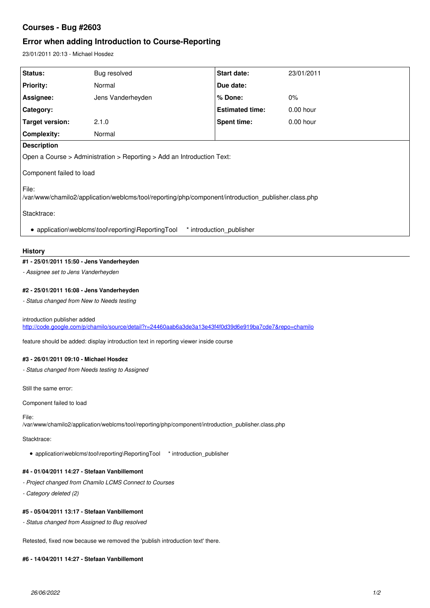# **Courses - Bug #2603**

# **Error when adding Introduction to Course-Reporting**

23/01/2011 20:13 - Michael Hosdez

| Status:                                                                                                         | Bug resolved      | <b>Start date:</b>     | 23/01/2011  |
|-----------------------------------------------------------------------------------------------------------------|-------------------|------------------------|-------------|
|                                                                                                                 |                   |                        |             |
| <b>Priority:</b>                                                                                                | Normal            | Due date:              |             |
| Assignee:                                                                                                       | Jens Vanderheyden | % Done:                | $0\%$       |
| Category:                                                                                                       |                   | <b>Estimated time:</b> | $0.00$ hour |
| Target version:                                                                                                 | 2.1.0             | <b>Spent time:</b>     | $0.00$ hour |
| <b>Complexity:</b>                                                                                              | Normal            |                        |             |
| <b>Description</b>                                                                                              |                   |                        |             |
| Open a Course > Administration > Reporting > Add an Introduction Text:                                          |                   |                        |             |
| Component failed to load                                                                                        |                   |                        |             |
| l File:<br>/var/www/chamilo2/application/weblcms/tool/reporting/php/component/introduction_publisher.class.php/ |                   |                        |             |
| Stacktrace:                                                                                                     |                   |                        |             |
| • application\weblcms\tool\reporting\ReportingTool<br>* introduction publisher                                  |                   |                        |             |

## **History**

## **#1 - 25/01/2011 15:50 - Jens Vanderheyden**

*- Assignee set to Jens Vanderheyden*

# **#2 - 25/01/2011 16:08 - Jens Vanderheyden**

*- Status changed from New to Needs testing*

### introduction publisher added <http://code.google.com/p/chamilo/source/detail?r=24460aab6a3de3a13e43f4f0d39d6e919ba7cde7&repo=chamilo>

feature should be added: display introduction text in reporting viewer inside course

# **#3 - 26/01/2011 09:10 - Michael Hosdez**

*- Status changed from Needs testing to Assigned*

Still the same error:

Component failed to load

#### File:

/var/www/chamilo2/application/weblcms/tool/reporting/php/component/introduction\_publisher.class.php

Stacktrace:

application\weblcms\tool\reporting\ReportingTool \* introduction\_publisher

## **#4 - 01/04/2011 14:27 - Stefaan Vanbillemont**

- *Project changed from Chamilo LCMS Connect to Courses*
- *Category deleted (2)*

# **#5 - 05/04/2011 13:17 - Stefaan Vanbillemont**

*- Status changed from Assigned to Bug resolved*

Retested, fixed now because we removed the 'publish introduction text' there.

#### **#6 - 14/04/2011 14:27 - Stefaan Vanbillemont**